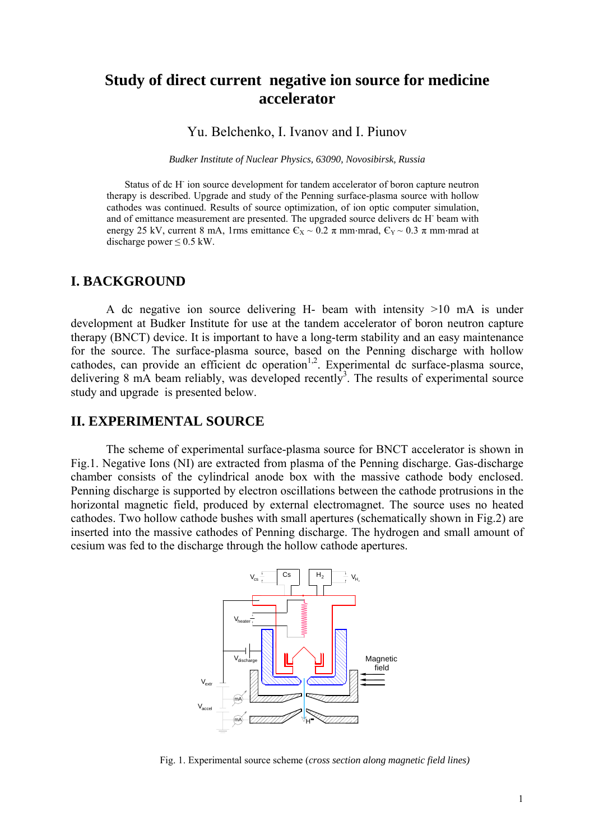# **Study of direct current negative ion source for medicine accelerator**

Yu. Belchenko, I. Ivanov and I. Piunov

*Budker Institute of Nuclear Physics, 63090, Novosibirsk, Russia*

Status of dc H<sup>-</sup> ion source development for tandem accelerator of boron capture neutron therapy is described. Upgrade and study of the Penning surface-plasma source with hollow cathodes was continued. Results of source optimization, of ion optic computer simulation, and of emittance measurement are presented. The upgraded source delivers dc H- beam with energy 25 kV, current 8 mA, 1rms emittance  $\epsilon_x \sim 0.2 \pi$  mm·mrad,  $\epsilon_y \sim 0.3 \pi$  mm·mrad at discharge power  $\leq 0.5$  kW.

#### **I. BACKGROUND**

A dc negative ion source delivering H- beam with intensity >10 mA is under development at Budker Institute for use at the tandem accelerator of boron neutron capture therapy (BNCT) device. It is important to have a long-term stability and an easy maintenance for the source. The surface-plasma source, based on the Penning discharge with hollow  $c$ athodes, can provide an efficient dc operation<sup>1,2</sup>. Experimental dc surface-plasma source, delivering 8 mA beam reliably, was developed recently<sup>3</sup>. The results of experimental source study and upgrade is presented below.

#### **II. EXPERIMENTAL SOURCE**

The scheme of experimental surface-plasma source for BNCT accelerator is shown in Fig.1. Negative Ions (NI) are extracted from plasma of the Penning discharge. Gas-discharge chamber consists of the cylindrical anode box with the massive cathode body enclosed. Penning discharge is supported by electron oscillations between the cathode protrusions in the horizontal magnetic field, produced by external electromagnet. The source uses no heated cathodes. Two hollow cathode bushes with small apertures (schematically shown in Fig.2) are inserted into the massive cathodes of Penning discharge. The hydrogen and small amount of cesium was fed to the discharge through the hollow cathode apertures.



Fig. 1. Experimental source scheme (*cross section along magnetic field lines)*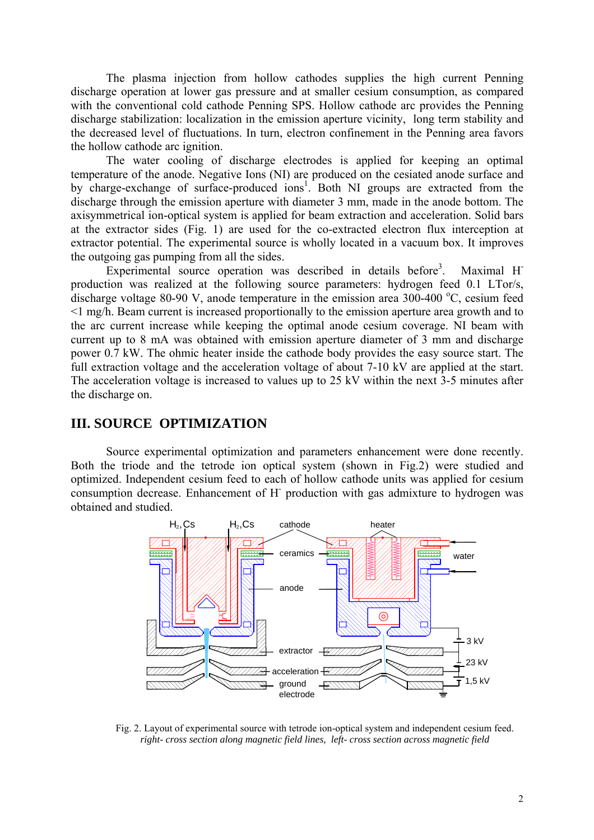The plasma injection from hollow cathodes supplies the high current Penning discharge operation at lower gas pressure and at smaller cesium consumption, as compared with the conventional cold cathode Penning SPS. Hollow cathode arc provides the Penning discharge stabilization: localization in the emission aperture vicinity, long term stability and the decreased level of fluctuations. In turn, electron confinement in the Penning area favors the hollow cathode arc ignition.

The water cooling of discharge electrodes is applied for keeping an optimal temperature of the anode. Negative Ions (NI) are produced on the cesiated anode surface and by charge-exchange of surface-produced ions<sup>1</sup>. Both NI groups are extracted from the discharge through the emission aperture with diameter 3 mm, made in the anode bottom. The axisymmetrical ion-optical system is applied for beam extraction and acceleration. Solid bars at the extractor sides (Fig. 1) are used for the co-extracted electron flux interception at extractor potential. The experimental source is wholly located in a vacuum box. It improves the outgoing gas pumping from all the sides.

Experimental source operation was described in details before<sup>3</sup>. Maximal H<sup>-</sup> production was realized at the following source parameters: hydrogen feed 0.1 LTor/s, discharge voltage 80-90 V, anode temperature in the emission area  $300$ -400 °C, cesium feed <1 mg/h. Beam current is increased proportionally to the emission aperture area growth and to the arc current increase while keeping the optimal anode cesium coverage. NI beam with current up to 8 mA was obtained with emission aperture diameter of 3 mm and discharge power 0.7 kW. The ohmic heater inside the cathode body provides the easy source start. The full extraction voltage and the acceleration voltage of about 7-10 kV are applied at the start. The acceleration voltage is increased to values up to 25 kV within the next 3-5 minutes after the discharge on.

# **III. SOURCE OPTIMIZATION**

Source experimental optimization and parameters enhancement were done recently. Both the triode and the tetrode ion optical system (shown in Fig.2) were studied and optimized. Independent cesium feed to each of hollow cathode units was applied for cesium consumption decrease. Enhancement of H- production with gas admixture to hydrogen was obtained and studied.



Fig. 2. Layout of experimental source with tetrode ion-optical system and independent cesium feed. *right- cross section along magnetic field lines, left- cross section across magnetic field*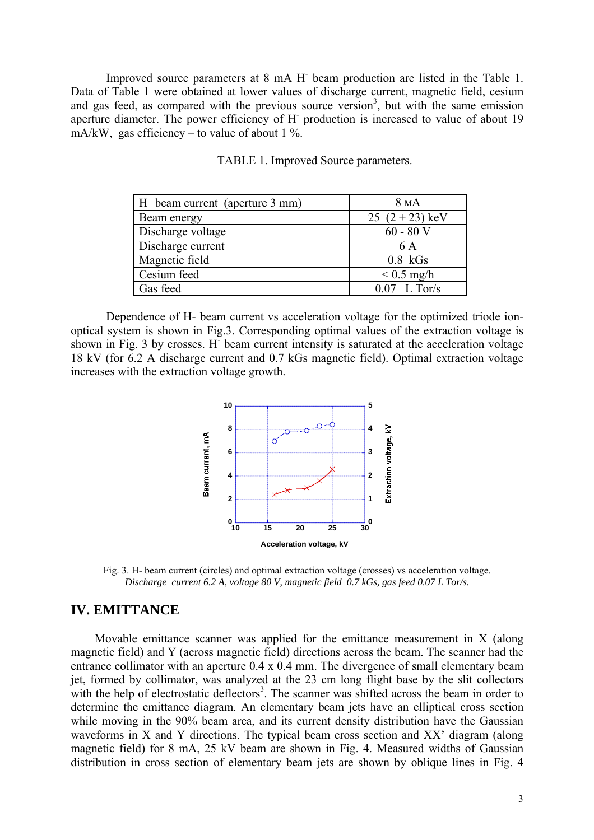Improved source parameters at 8 mA H<sup>-</sup> beam production are listed in the Table 1. Data of Table 1 were obtained at lower values of discharge current, magnetic field, cesium and gas feed, as compared with the previous source version<sup>3</sup>, but with the same emission aperture diameter. The power efficiency of H<sup>-</sup> production is increased to value of about 19 mA/kW, gas efficiency – to value of about 1 %.

| $H^-$ beam current (aperture 3 mm) | 8 <sub>M</sub> A |
|------------------------------------|------------------|
| Beam energy                        | 25 $(2+23)$ keV  |
| Discharge voltage                  | $60 - 80$ V      |
| Discharge current                  | 6 A              |
| Magnetic field                     | $0.8$ kGs        |
| Cesium feed                        | $< 0.5$ mg/h     |
| Gas feed                           | $0.07$ L Tor/s   |

TABLE 1. Improved Source parameters.

Dependence of H- beam current vs acceleration voltage for the optimized triode ionoptical system is shown in Fig.3. Corresponding optimal values of the extraction voltage is shown in Fig. 3 by crosses. H<sup>-</sup> beam current intensity is saturated at the acceleration voltage 18 kV (for 6.2 A discharge current and 0.7 kGs magnetic field). Optimal extraction voltage increases with the extraction voltage growth.



Fig. 3. H- beam current (circles) and optimal extraction voltage (crosses) vs acceleration voltage. *Discharge current 6.2 A, voltage 80 V, magnetic field 0.7 kGs, gas feed 0.07 L Tor/s.* 

### **IV. EMITTANCE**

Movable emittance scanner was applied for the emittance measurement in X (along magnetic field) and Y (across magnetic field) directions across the beam. The scanner had the entrance collimator with an aperture 0.4 x 0.4 mm. The divergence of small elementary beam jet, formed by collimator, was analyzed at the 23 cm long flight base by the slit collectors with the help of electrostatic deflectors<sup>3</sup>. The scanner was shifted across the beam in order to determine the emittance diagram. An elementary beam jets have an elliptical cross section while moving in the 90% beam area, and its current density distribution have the Gaussian waveforms in X and Y directions. The typical beam cross section and XX' diagram (along magnetic field) for 8 mA, 25 kV beam are shown in Fig. 4. Measured widths of Gaussian distribution in cross section of elementary beam jets are shown by oblique lines in Fig. 4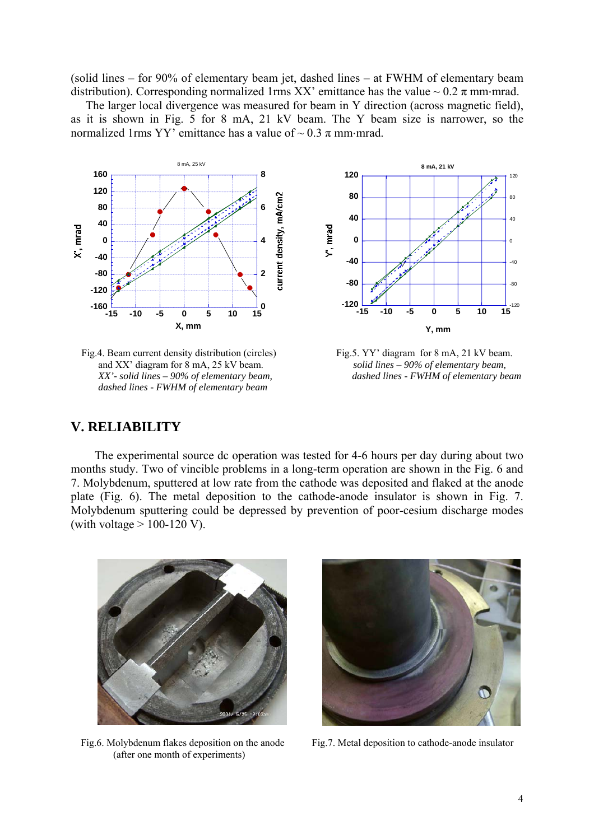(solid lines – for 90% of elementary beam jet, dashed lines – at FWHM of elementary beam distribution). Corresponding normalized 1rms XX' emittance has the value  $\sim 0.2 \pi$  mm·mrad.

 The larger local divergence was measured for beam in Y direction (across magnetic field), as it is shown in Fig. 5 for 8 mA, 21 kV beam. The Y beam size is narrower, so the normalized 1rms YY' emittance has a value of  $\sim 0.3 \pi$  mm·mrad.



Fig.4. Beam current density distribution (circles) Fig.5. YY' diagram for 8 mA, 21 kV beam. and XX' diagram for 8 mA, 25 kV beam. *solid lines – 90% of elementary beam, dashed lines - FWHM of elementary beam* 

 *XX'- solid lines – 90% of elementary beam, dashed lines - FWHM of elementary beam* 

## **. RELIABILITY V**

The experimental source dc operation was tested for 4-6 hours per day during about two months study. Two of vincible problems in a long-term operation are shown in the Fig. 6 and 7. Molybdenum, sputtered at low rate from the cathode was deposited and flaked at the anode plate (Fig. 6). The metal deposition to the cathode-anode insulator is shown in Fig. 7. Molybdenum sputtering could be depressed by prevention of poor-cesium discharge modes (with voltage  $> 100-120$  V).



(after one month of experiments) Fig.6. Molybdenum flakes deposition on the anode



Fig.7. Metal deposition to cathode-anode insulator